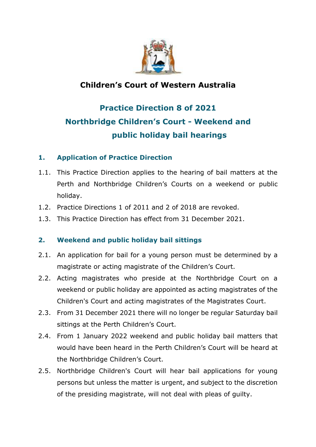

## **Children's Court of Western Australia**

# **Practice Direction 8 of 2021 Northbridge Children's Court - Weekend and public holiday bail hearings**

### **1. Application of Practice Direction**

- 1.1. This Practice Direction applies to the hearing of bail matters at the Perth and Northbridge Children's Courts on a weekend or public holiday.
- 1.2. Practice Directions 1 of 2011 and 2 of 2018 are revoked.
- 1.3. This Practice Direction has effect from 31 December 2021.

#### **2. Weekend and public holiday bail sittings**

- 2.1. An application for bail for a young person must be determined by a magistrate or acting magistrate of the Children's Court.
- 2.2. Acting magistrates who preside at the Northbridge Court on a weekend or public holiday are appointed as acting magistrates of the Children's Court and acting magistrates of the Magistrates Court.
- 2.3. From 31 December 2021 there will no longer be regular Saturday bail sittings at the Perth Children's Court.
- 2.4. From 1 January 2022 weekend and public holiday bail matters that would have been heard in the Perth Children's Court will be heard at the Northbridge Children's Court.
- 2.5. Northbridge Children's Court will hear bail applications for young persons but unless the matter is urgent, and subject to the discretion of the presiding magistrate, will not deal with pleas of guilty.